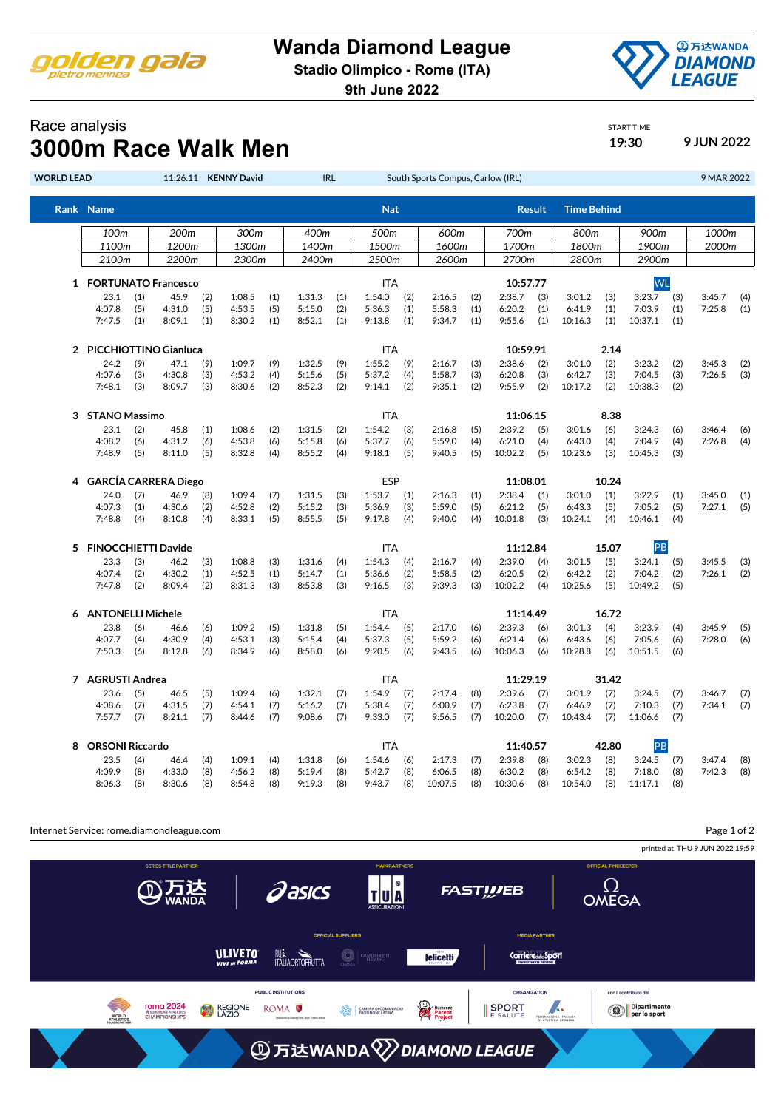

## **Wanda Diamond League**

**Stadio Olimpico - Rome (ITA)**

**9th June 2022**



START TIME

## Race analysis **3000m Race Walk Men 19:30 19:30 9 JUN 2022**

| <b>WORLD LEAD</b> |                              |            |                             |            | 11:26.11 KENNY David |            |                  | <b>IRL</b> |                  |            | South Sports Compus, Carlow (IRL) |            |                   |               |                    |             |                  |            | 9 MAR 2022       |            |
|-------------------|------------------------------|------------|-----------------------------|------------|----------------------|------------|------------------|------------|------------------|------------|-----------------------------------|------------|-------------------|---------------|--------------------|-------------|------------------|------------|------------------|------------|
|                   | Rank Name                    |            |                             |            |                      |            |                  |            | <b>Nat</b>       |            |                                   |            |                   | <b>Result</b> | <b>Time Behind</b> |             |                  |            |                  |            |
|                   | 100 <sub>m</sub>             |            | 200m                        |            | 300m                 |            | 400m             |            | 500m             |            | 600m                              |            | 700m              |               | 800m               |             | 900m             |            | 1000m            |            |
|                   | 1100m                        |            | 1200m                       |            | 1300m                |            | 1400m            |            | 1500m            |            | 1600m                             |            | 1700m             |               | 1800m              |             | 1900m            |            | 2000m            |            |
|                   | 2100m                        |            | 2200m                       |            | 2300m                |            | 2400m            |            | 2500m            |            | 2600m                             |            | 2700m             |               | 2800m              |             | 2900m            |            |                  |            |
|                   | 1 FORTUNATO Francesco        |            |                             |            |                      |            |                  | <b>ITA</b> |                  |            |                                   | 10:57.77   |                   |               |                    | <b>WL</b>   |                  |            |                  |            |
|                   | 23.1                         | (1)        | 45.9                        | (2)        | 1:08.5               | (1)        | 1:31.3           | (1)        | 1:54.0           | (2)        | 2:16.5                            | (2)        | 2:38.7            | (3)           | 3:01.2             | (3)         | 3:23.7           | (3)        | 3:45.7           | (4)        |
|                   | 4:07.8                       | (5)        | 4:31.0                      | (5)        | 4:53.5               | (5)        | 5:15.0           | (2)        | 5:36.3           | (1)        | 5:58.3                            | (1)        | 6:20.2            | (1)           | 6:41.9             | (1)         | 7:03.9           | (1)        | 7:25.8           | (1)        |
|                   | 7:47.5                       | (1)        | 8:09.1                      | (1)        | 8:30.2               | (1)        | 8:52.1           | (1)        | 9:13.8           | (1)        | 9:34.7                            | (1)        | 9:55.6            | (1)           | 10:16.3            | (1)         | 10:37.1          | (1)        |                  |            |
| $\overline{2}$    | <b>PICCHIOTTINO Gianluca</b> |            |                             |            |                      |            |                  |            | ITA              |            |                                   |            | 10:59.91          |               |                    | 2.14        |                  |            |                  |            |
|                   | 24.2                         | (9)        | 47.1<br>(9)                 |            | 1:09.7               | (9)        | 1:32.5           | (9)        | 1:55.2<br>(9)    |            | 2:16.7<br>(3)                     |            | 2:38.6<br>(2)     |               | 3:01.0             | (2)         | 3:23.2           | (2)        | 3:45.3           | (2)        |
|                   | 4:07.6                       | (3)        | 4:30.8                      | (3)        | 4:53.2               | (4)        | 5:15.6           | (5)        | 5:37.2           | (4)        | 5:58.7                            | (3)        | 6:20.8            | (3)           | 6:42.7             | (3)         | 7:04.5           | (3)        | 7:26.5           | (3)        |
|                   | 7:48.1                       | (3)        | 8:09.7                      | (3)        | 8:30.6               | (2)        | 8:52.3           | (2)        | 9:14.1           | (2)        | 9:35.1                            | (2)        | 9:55.9            | (2)           | 10:17.2            | (2)         | 10:38.3          | (2)        |                  |            |
| 3                 | <b>STANO Massimo</b>         |            |                             |            |                      |            |                  | ITA        |                  |            | 11:06.15                          |            |                   |               |                    |             |                  |            |                  |            |
|                   | 23.1                         | (2)        | 45.8                        | (1)        | 1:08.6               | (2)        | 1:31.5           | (2)        | 1:54.2           | (3)        | 2:16.8                            | (5)        | 2:39.2            | (5)           | 3:01.6             | 8.38<br>(6) | 3:24.3           | (6)        | 3:46.4           | (6)        |
|                   | 4:08.2                       | (6)        | 4:31.2                      | (6)        | 4:53.8               | (6)        | 5:15.8           | (6)        | 5:37.7           | (6)        | 5:59.0                            | (4)        | 6:21.0            | (4)           | 6:43.0             | (4)         | 7:04.9           | (4)        | 7:26.8           | (4)        |
|                   | 7:48.9                       | (5)        | 8:11.0                      | (5)        | 8:32.8               | (4)        | 8:55.2           | (4)        | 9:18.1           | (5)        | 9:40.5                            | (5)        | 10:02.2           | (5)           | 10:23.6            | (3)         | 10:45.3          | (3)        |                  |            |
| 4                 |                              |            | <b>GARCÍA CARRERA Diego</b> |            |                      |            |                  |            | ESP              |            |                                   |            | 11:08.01          |               |                    | 10.24       |                  |            |                  |            |
|                   | 24.0                         | (7)        | 46.9                        |            | 1:09.4               |            | 1:31.5           |            | 1:53.7           | (1)        | 2:16.3                            |            | 2:38.4            | (1)           | 3:01.0             | (1)         | 3:22.9           | (1)        |                  |            |
|                   | 4:07.3                       | (1)        | 4:30.6                      | (8)<br>(2) | 4:52.8               | (7)<br>(2) | 5:15.2           | (3)<br>(3) | 5:36.9           | (3)        | 5:59.0                            | (1)<br>(5) | 6:21.2            | (5)           | 6:43.3             | (5)         | 7:05.2           | (5)        | 3:45.0<br>7:27.1 | (1)<br>(5) |
|                   | 7:48.8                       | (4)        | 8:10.8                      | (4)        | 8:33.1               | (5)        | 8:55.5           | (5)        | 9:17.8           | (4)        | 9:40.0                            | (4)        | 10:01.8           | (3)           | 10:24.1            | (4)         | 10:46.1          | (4)        |                  |            |
| 5.                | <b>FINOCCHIETTI Davide</b>   |            |                             |            |                      |            |                  |            | ITA              |            |                                   |            | 11:12.84          |               |                    | 15.07       | PB               |            |                  |            |
|                   | 23.3                         |            | 46.2                        |            |                      |            |                  |            |                  |            |                                   |            | 2:39.0            |               |                    | (5)         |                  |            |                  |            |
|                   | 4:07.4                       | (3)<br>(2) | 4:30.2                      | (3)<br>(1) | 1:08.8<br>4:52.5     | (3)<br>(1) | 1:31.6<br>5:14.7 | (4)<br>(1) | 1:54.3<br>5:36.6 | (4)<br>(2) | 2:16.7<br>5:58.5                  | (4)<br>(2) | 6:20.5            | (4)<br>(2)    | 3:01.5<br>6:42.2   | (2)         | 3:24.1<br>7:04.2 | (5)<br>(2) | 3:45.5<br>7:26.1 | (3)        |
|                   | 7:47.8                       | (2)        | 8:09.4                      | (2)        | 8:31.3               | (3)        | 8:53.8           | (3)        | 9:16.5           | (3)        | 9:39.3                            | (3)        | 10:02.2           | (4)           | 10:25.6            | (5)         | 10:49.2          | (5)        |                  | (2)        |
|                   |                              |            |                             |            |                      |            |                  |            |                  |            |                                   |            |                   |               |                    |             |                  |            |                  |            |
| 6                 | <b>ANTONELLI Michele</b>     |            |                             |            |                      |            | ITA              |            |                  |            | 11:14.49                          |            | 3:01.3            | 16.72         | 3:23.9             |             |                  |            |                  |            |
|                   | 23.8<br>4:07.7               | (6)<br>(4) | 46.6<br>4:30.9              | (6)<br>(4) | 1:09.2<br>4:53.1     | (5)<br>(3) | 1:31.8<br>5:15.4 | (5)<br>(4) | 1:54.4<br>5:37.3 | (5)<br>(5) | 2:17.0<br>5:59.2                  | (6)<br>(6) | 2:39.3<br>6:21.4  | (6)<br>(6)    | 6:43.6             | (4)<br>(6)  | 7:05.6           | (4)<br>(6) | 3:45.9<br>7:28.0 | (5)<br>(6) |
|                   | 7:50.3                       | (6)        | 8:12.8                      | (6)        | 8:34.9               | (6)        | 8:58.0           | (6)        | 9:20.5           | (6)        | 9:43.5                            | (6)        | 10:06.3           | (6)           | 10:28.8            | (6)         | 10:51.5          | (6)        |                  |            |
|                   |                              |            |                             |            |                      |            |                  |            |                  |            |                                   |            |                   |               |                    |             |                  |            |                  |            |
| 7                 | <b>AGRUSTI Andrea</b>        |            |                             |            |                      |            |                  |            | ITA              |            |                                   |            | 11:29.19          |               | 31.42              |             |                  |            |                  |            |
|                   | 23.6<br>4:08.6               | (5)        | 46.5<br>4:31.5              | (5)        | 1:09.4               | (6)        | 1:32.1           | (7)        | 1:54.9           | (7)        | 2:17.4                            | (8)        | 2:39.6            | (7)           | 3:01.9<br>6:46.9   | (7)         | 3:24.5<br>7:10.3 | (7)        | 3:46.7<br>7:34.1 | (7)        |
|                   | 7:57.7                       | (7)<br>(7) | 8:21.1                      | (7)<br>(7) | 4:54.1<br>8:44.6     | (7)<br>(7) | 5:16.2<br>9:08.6 | (7)<br>(7) | 5:38.4<br>9:33.0 | (7)<br>(7) | 6:00.9<br>9:56.5                  | (7)<br>(7) | 6:23.8<br>10:20.0 | (7)<br>(7)    | 10:43.4            | (7)<br>(7)  | 11:06.6          | (7)<br>(7) |                  | (7)        |
| 8                 | <b>ORSONI Riccardo</b>       |            |                             |            |                      |            |                  |            | ITA              |            |                                   |            | 11:40.57          |               |                    | 42.80       | PB               |            |                  |            |
|                   | 23.5                         | 46.4       | 1:09.1                      | (4)        | 1:31.8               |            | 1:54.6           | (6)        | 2:17.3           | (7)        | 2:39.8                            | (8)        | 3:02.3            | (8)           | 3:24.5             | (7)         | 3:47.4           |            |                  |            |
|                   | 4:09.9                       | (4)<br>(8) | 4:33.0                      | (4)<br>(8) | 4:56.2               | (8)        | 5:19.4           | (6)<br>(8) | 5:42.7           | (8)        | 6:06.5                            | (8)        | 6:30.2            | (8)           | 6:54.2             | (8)         | 7:18.0           | (8)        | 7:42.3           | (8)<br>(8) |
|                   | 8:06.3                       | (8)        | 8:30.6                      | (8)        | 8:54.8               | (8)        | 9:19.3           | (8)        | 9:43.7           | (8)        | 10:07.5                           | (8)        | 10:30.6           | (8)           | 10:54.0            | (8)         | 11:17.1          | (8)        |                  |            |
|                   |                              |            |                             |            |                      |            |                  |            |                  |            |                                   |            |                   |               |                    |             |                  |            |                  |            |

Internet Service: rome.diamondleague.com

Page 1 of 2

printed at THU 9 JUN 2022 19:59